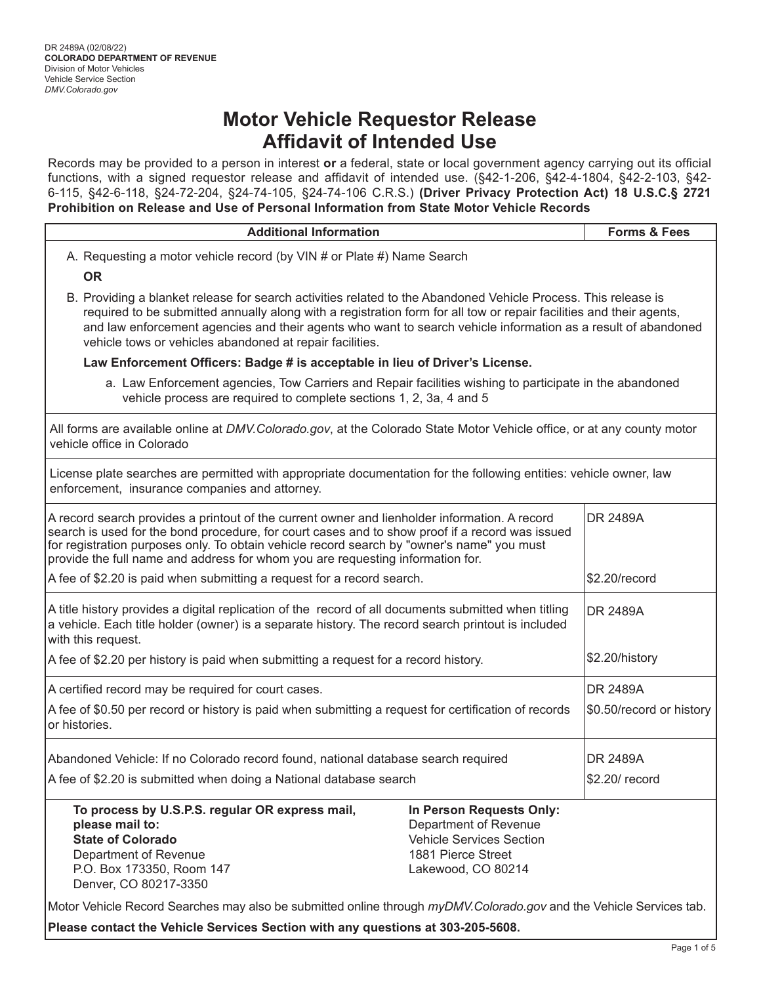Records may be provided to a person in interest **or** a federal, state or local government agency carrying out its official functions, with a signed requestor release and affidavit of intended use. (§42-1-206, §42-4-1804, §42-2-103, §42- 6-115, §42-6-118, §24-72-204, §24-74-105, §24-74-106 C.R.S.) **(Driver Privacy Protection Act) 18 U.S.C.§ 2721 Prohibition on Release and Use of Personal Information from State Motor Vehicle Records** 

| <b>Additional Information</b>                                                                                                                                                                                                                                                                                                                                                                                      |                                                                                                                                  | <b>Forms &amp; Fees</b>  |  |  |  |  |  |  |
|--------------------------------------------------------------------------------------------------------------------------------------------------------------------------------------------------------------------------------------------------------------------------------------------------------------------------------------------------------------------------------------------------------------------|----------------------------------------------------------------------------------------------------------------------------------|--------------------------|--|--|--|--|--|--|
|                                                                                                                                                                                                                                                                                                                                                                                                                    |                                                                                                                                  |                          |  |  |  |  |  |  |
| A. Requesting a motor vehicle record (by VIN # or Plate #) Name Search<br><b>OR</b>                                                                                                                                                                                                                                                                                                                                |                                                                                                                                  |                          |  |  |  |  |  |  |
| B. Providing a blanket release for search activities related to the Abandoned Vehicle Process. This release is<br>required to be submitted annually along with a registration form for all tow or repair facilities and their agents,<br>and law enforcement agencies and their agents who want to search vehicle information as a result of abandoned<br>vehicle tows or vehicles abandoned at repair facilities. |                                                                                                                                  |                          |  |  |  |  |  |  |
| Law Enforcement Officers: Badge # is acceptable in lieu of Driver's License.                                                                                                                                                                                                                                                                                                                                       |                                                                                                                                  |                          |  |  |  |  |  |  |
| a. Law Enforcement agencies, Tow Carriers and Repair facilities wishing to participate in the abandoned<br>vehicle process are required to complete sections 1, 2, 3a, 4 and 5                                                                                                                                                                                                                                     |                                                                                                                                  |                          |  |  |  |  |  |  |
| vehicle office in Colorado                                                                                                                                                                                                                                                                                                                                                                                         | All forms are available online at DMV.Colorado.gov, at the Colorado State Motor Vehicle office, or at any county motor           |                          |  |  |  |  |  |  |
| License plate searches are permitted with appropriate documentation for the following entities: vehicle owner, law<br>enforcement, insurance companies and attorney.                                                                                                                                                                                                                                               |                                                                                                                                  |                          |  |  |  |  |  |  |
| A record search provides a printout of the current owner and lienholder information. A record<br>search is used for the bond procedure, for court cases and to show proof if a record was issued<br>for registration purposes only. To obtain vehicle record search by "owner's name" you must<br>provide the full name and address for whom you are requesting information for.                                   | DR 2489A                                                                                                                         |                          |  |  |  |  |  |  |
| A fee of \$2.20 is paid when submitting a request for a record search.                                                                                                                                                                                                                                                                                                                                             | \$2.20/record                                                                                                                    |                          |  |  |  |  |  |  |
| A title history provides a digital replication of the record of all documents submitted when titling<br>a vehicle. Each title holder (owner) is a separate history. The record search printout is included<br>with this request.                                                                                                                                                                                   | <b>DR 2489A</b>                                                                                                                  |                          |  |  |  |  |  |  |
| A fee of \$2.20 per history is paid when submitting a request for a record history.                                                                                                                                                                                                                                                                                                                                |                                                                                                                                  | \$2.20/history           |  |  |  |  |  |  |
| A certified record may be required for court cases.                                                                                                                                                                                                                                                                                                                                                                |                                                                                                                                  | <b>DR 2489A</b>          |  |  |  |  |  |  |
| A fee of \$0.50 per record or history is paid when submitting a request for certification of records<br>or histories.                                                                                                                                                                                                                                                                                              |                                                                                                                                  | \$0.50/record or history |  |  |  |  |  |  |
| Abandoned Vehicle: If no Colorado record found, national database search required                                                                                                                                                                                                                                                                                                                                  | DR 2489A                                                                                                                         |                          |  |  |  |  |  |  |
| A fee of \$2.20 is submitted when doing a National database search                                                                                                                                                                                                                                                                                                                                                 | \$2.20/ record                                                                                                                   |                          |  |  |  |  |  |  |
| To process by U.S.P.S. regular OR express mail,<br>please mail to:<br><b>State of Colorado</b><br>Department of Revenue<br>P.O. Box 173350, Room 147<br>Denver, CO 80217-3350                                                                                                                                                                                                                                      | In Person Requests Only:<br>Department of Revenue<br><b>Vehicle Services Section</b><br>1881 Pierce Street<br>Lakewood, CO 80214 |                          |  |  |  |  |  |  |
| Motor Vehicle Record Searches may also be submitted online through myDMV.Colorado.gov and the Vehicle Services tab.                                                                                                                                                                                                                                                                                                |                                                                                                                                  |                          |  |  |  |  |  |  |

**Please contact the Vehicle Services Section with any questions at 303-205-5608.**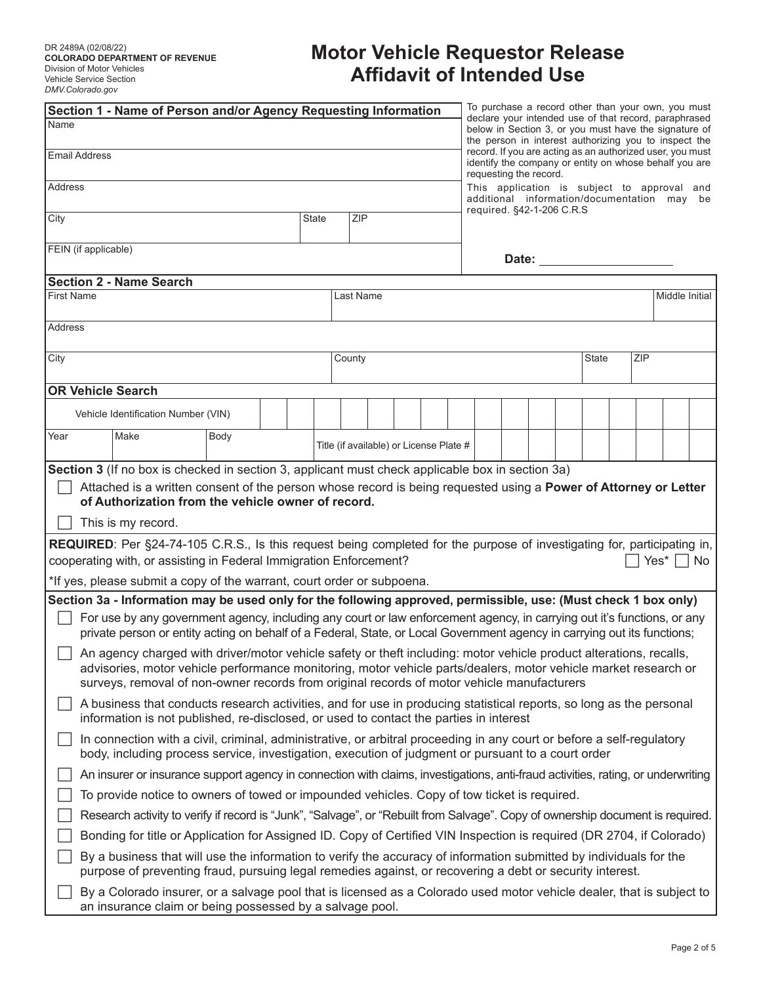| Section 1 - Name of Person and/or Agency Requesting Information                                                                                                                                                                                                                                                                     |  |                                         |  |  |  |                                                                                                                                                                         |  |                           |  |              |  |     | To purchase a record other than your own, you must                                         |  |
|-------------------------------------------------------------------------------------------------------------------------------------------------------------------------------------------------------------------------------------------------------------------------------------------------------------------------------------|--|-----------------------------------------|--|--|--|-------------------------------------------------------------------------------------------------------------------------------------------------------------------------|--|---------------------------|--|--------------|--|-----|--------------------------------------------------------------------------------------------|--|
| Name                                                                                                                                                                                                                                                                                                                                |  |                                         |  |  |  | declare your intended use of that record, paraphrased<br>below in Section 3, or you must have the signature of<br>the person in interest authorizing you to inspect the |  |                           |  |              |  |     |                                                                                            |  |
| <b>Email Address</b>                                                                                                                                                                                                                                                                                                                |  |                                         |  |  |  | record. If you are acting as an authorized user, you must<br>identify the company or entity on whose behalf you are<br>requesting the record.                           |  |                           |  |              |  |     |                                                                                            |  |
| <b>Address</b>                                                                                                                                                                                                                                                                                                                      |  |                                         |  |  |  |                                                                                                                                                                         |  |                           |  |              |  |     | This application is subject to approval and<br>additional information/documentation may be |  |
| State<br><b>ZIP</b><br>City                                                                                                                                                                                                                                                                                                         |  |                                         |  |  |  |                                                                                                                                                                         |  | required. §42-1-206 C.R.S |  |              |  |     |                                                                                            |  |
| FEIN (if applicable)                                                                                                                                                                                                                                                                                                                |  |                                         |  |  |  |                                                                                                                                                                         |  |                           |  |              |  |     |                                                                                            |  |
| <b>Section 2 - Name Search</b>                                                                                                                                                                                                                                                                                                      |  |                                         |  |  |  |                                                                                                                                                                         |  |                           |  |              |  |     |                                                                                            |  |
| <b>First Name</b>                                                                                                                                                                                                                                                                                                                   |  | Last Name                               |  |  |  |                                                                                                                                                                         |  |                           |  |              |  |     | Middle Initial                                                                             |  |
| <b>Address</b>                                                                                                                                                                                                                                                                                                                      |  |                                         |  |  |  |                                                                                                                                                                         |  |                           |  |              |  |     |                                                                                            |  |
|                                                                                                                                                                                                                                                                                                                                     |  |                                         |  |  |  |                                                                                                                                                                         |  |                           |  |              |  |     |                                                                                            |  |
| City                                                                                                                                                                                                                                                                                                                                |  | County                                  |  |  |  |                                                                                                                                                                         |  |                           |  | <b>State</b> |  | ZIP |                                                                                            |  |
| <b>OR Vehicle Search</b>                                                                                                                                                                                                                                                                                                            |  |                                         |  |  |  |                                                                                                                                                                         |  |                           |  |              |  |     |                                                                                            |  |
| Vehicle Identification Number (VIN)                                                                                                                                                                                                                                                                                                 |  |                                         |  |  |  |                                                                                                                                                                         |  |                           |  |              |  |     |                                                                                            |  |
| Year<br>Make<br>Body                                                                                                                                                                                                                                                                                                                |  | Title (if available) or License Plate # |  |  |  |                                                                                                                                                                         |  |                           |  |              |  |     |                                                                                            |  |
| Section 3 (If no box is checked in section 3, applicant must check applicable box in section 3a)                                                                                                                                                                                                                                    |  |                                         |  |  |  |                                                                                                                                                                         |  |                           |  |              |  |     |                                                                                            |  |
| Attached is a written consent of the person whose record is being requested using a Power of Attorney or Letter<br>of Authorization from the vehicle owner of record.                                                                                                                                                               |  |                                         |  |  |  |                                                                                                                                                                         |  |                           |  |              |  |     |                                                                                            |  |
| This is my record.                                                                                                                                                                                                                                                                                                                  |  |                                         |  |  |  |                                                                                                                                                                         |  |                           |  |              |  |     |                                                                                            |  |
| <b>REQUIRED:</b> Per §24-74-105 C.R.S., Is this request being completed for the purpose of investigating for, participating in,                                                                                                                                                                                                     |  |                                         |  |  |  |                                                                                                                                                                         |  |                           |  |              |  |     |                                                                                            |  |
| cooperating with, or assisting in Federal Immigration Enforcement?                                                                                                                                                                                                                                                                  |  |                                         |  |  |  |                                                                                                                                                                         |  |                           |  |              |  |     | Yes* $\Box$ No                                                                             |  |
| *If yes, please submit a copy of the warrant, court order or subpoena.                                                                                                                                                                                                                                                              |  |                                         |  |  |  |                                                                                                                                                                         |  |                           |  |              |  |     |                                                                                            |  |
| Section 3a - Information may be used only for the following approved, permissible, use: (Must check 1 box only)                                                                                                                                                                                                                     |  |                                         |  |  |  |                                                                                                                                                                         |  |                           |  |              |  |     |                                                                                            |  |
| For use by any government agency, including any court or law enforcement agency, in carrying out it's functions, or any<br>private person or entity acting on behalf of a Federal, State, or Local Government agency in carrying out its functions;                                                                                 |  |                                         |  |  |  |                                                                                                                                                                         |  |                           |  |              |  |     |                                                                                            |  |
| An agency charged with driver/motor vehicle safety or theft including: motor vehicle product alterations, recalls,<br>advisories, motor vehicle performance monitoring, motor vehicle parts/dealers, motor vehicle market research or<br>surveys, removal of non-owner records from original records of motor vehicle manufacturers |  |                                         |  |  |  |                                                                                                                                                                         |  |                           |  |              |  |     |                                                                                            |  |
| A business that conducts research activities, and for use in producing statistical reports, so long as the personal<br>information is not published, re-disclosed, or used to contact the parties in interest                                                                                                                       |  |                                         |  |  |  |                                                                                                                                                                         |  |                           |  |              |  |     |                                                                                            |  |
| In connection with a civil, criminal, administrative, or arbitral proceeding in any court or before a self-regulatory<br>body, including process service, investigation, execution of judgment or pursuant to a court order                                                                                                         |  |                                         |  |  |  |                                                                                                                                                                         |  |                           |  |              |  |     |                                                                                            |  |
| An insurer or insurance support agency in connection with claims, investigations, anti-fraud activities, rating, or underwriting                                                                                                                                                                                                    |  |                                         |  |  |  |                                                                                                                                                                         |  |                           |  |              |  |     |                                                                                            |  |
| To provide notice to owners of towed or impounded vehicles. Copy of tow ticket is required.                                                                                                                                                                                                                                         |  |                                         |  |  |  |                                                                                                                                                                         |  |                           |  |              |  |     |                                                                                            |  |
| Research activity to verify if record is "Junk", "Salvage", or "Rebuilt from Salvage". Copy of ownership document is required.                                                                                                                                                                                                      |  |                                         |  |  |  |                                                                                                                                                                         |  |                           |  |              |  |     |                                                                                            |  |
| Bonding for title or Application for Assigned ID. Copy of Certified VIN Inspection is required (DR 2704, if Colorado)                                                                                                                                                                                                               |  |                                         |  |  |  |                                                                                                                                                                         |  |                           |  |              |  |     |                                                                                            |  |
| By a business that will use the information to verify the accuracy of information submitted by individuals for the<br>purpose of preventing fraud, pursuing legal remedies against, or recovering a debt or security interest.                                                                                                      |  |                                         |  |  |  |                                                                                                                                                                         |  |                           |  |              |  |     |                                                                                            |  |
| By a Colorado insurer, or a salvage pool that is licensed as a Colorado used motor vehicle dealer, that is subject to<br>an insurance claim or being possessed by a salvage pool.                                                                                                                                                   |  |                                         |  |  |  |                                                                                                                                                                         |  |                           |  |              |  |     |                                                                                            |  |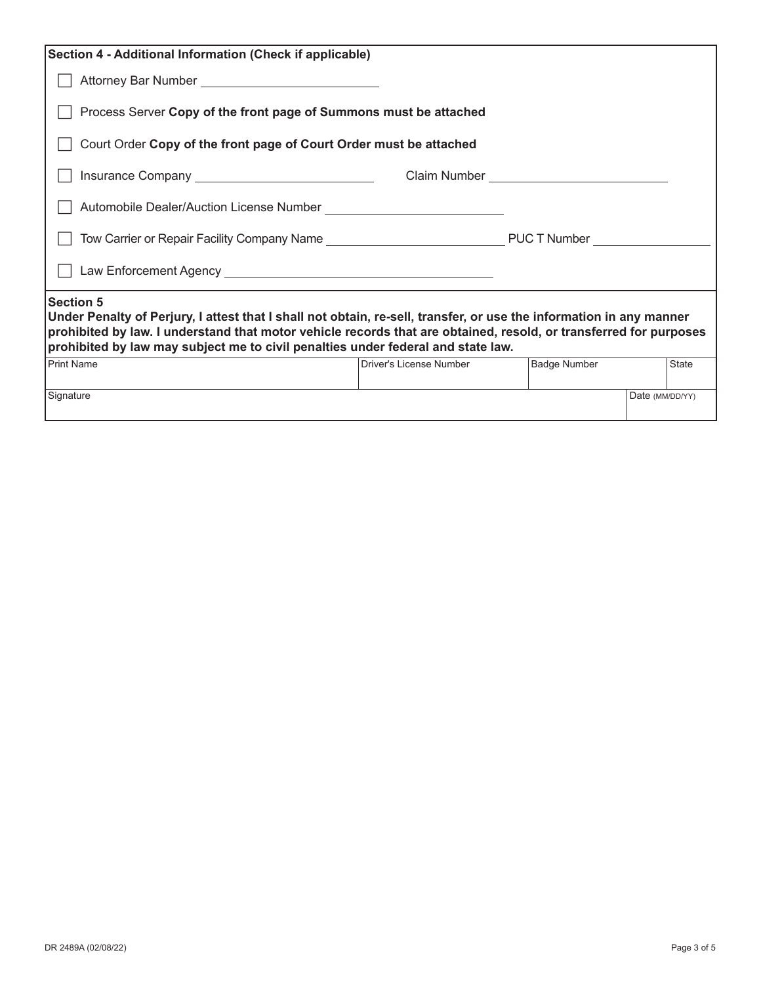| Section 4 - Additional Information (Check if applicable)                                                                                                                                                                                                                                                                                         |                         |                     |                 |              |  |  |  |  |  |  |
|--------------------------------------------------------------------------------------------------------------------------------------------------------------------------------------------------------------------------------------------------------------------------------------------------------------------------------------------------|-------------------------|---------------------|-----------------|--------------|--|--|--|--|--|--|
|                                                                                                                                                                                                                                                                                                                                                  |                         |                     |                 |              |  |  |  |  |  |  |
| Process Server Copy of the front page of Summons must be attached                                                                                                                                                                                                                                                                                |                         |                     |                 |              |  |  |  |  |  |  |
| Court Order Copy of the front page of Court Order must be attached                                                                                                                                                                                                                                                                               |                         |                     |                 |              |  |  |  |  |  |  |
|                                                                                                                                                                                                                                                                                                                                                  |                         |                     |                 |              |  |  |  |  |  |  |
|                                                                                                                                                                                                                                                                                                                                                  |                         |                     |                 |              |  |  |  |  |  |  |
|                                                                                                                                                                                                                                                                                                                                                  |                         |                     |                 |              |  |  |  |  |  |  |
|                                                                                                                                                                                                                                                                                                                                                  |                         |                     |                 |              |  |  |  |  |  |  |
| <b>Section 5</b><br>Under Penalty of Perjury, I attest that I shall not obtain, re-sell, transfer, or use the information in any manner<br>prohibited by law. I understand that motor vehicle records that are obtained, resold, or transferred for purposes<br>prohibited by law may subject me to civil penalties under federal and state law. |                         |                     |                 |              |  |  |  |  |  |  |
| <b>Print Name</b>                                                                                                                                                                                                                                                                                                                                | Driver's License Number | <b>Badge Number</b> |                 | <b>State</b> |  |  |  |  |  |  |
| Signature                                                                                                                                                                                                                                                                                                                                        |                         |                     | Date (MM/DD/YY) |              |  |  |  |  |  |  |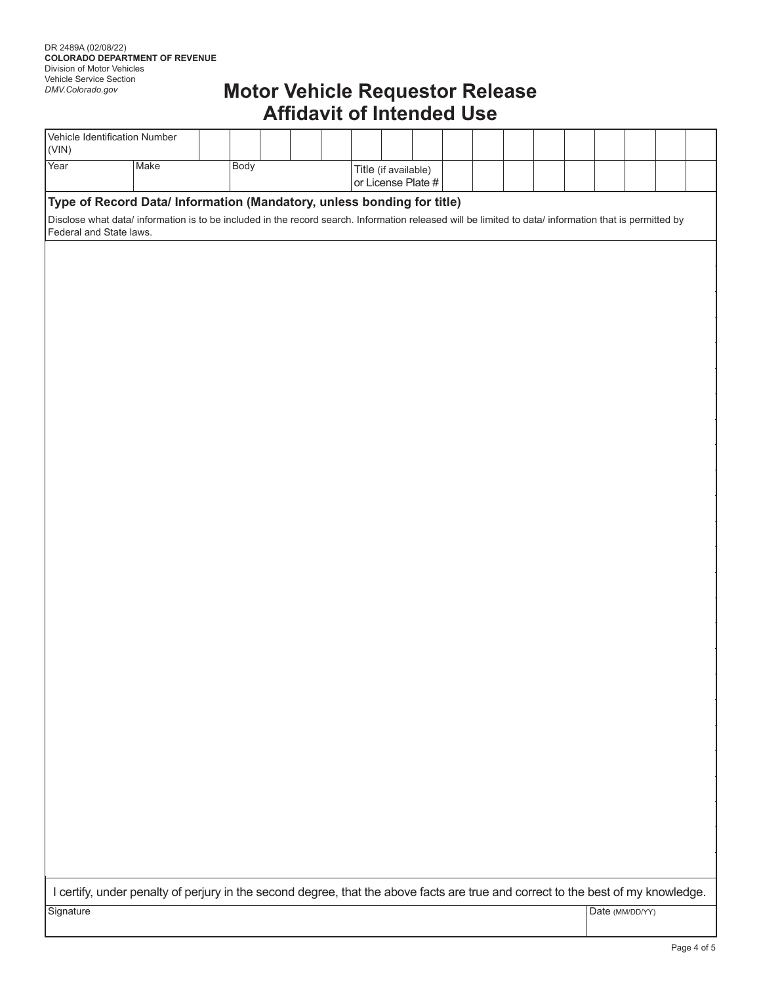| Vehicle Identification Number<br>(VIN)                                 |                                                                                                                                                        |      |  |                    |                      |  |  |  |  |  |  |  |  |  |
|------------------------------------------------------------------------|--------------------------------------------------------------------------------------------------------------------------------------------------------|------|--|--------------------|----------------------|--|--|--|--|--|--|--|--|--|
| Year                                                                   | Make                                                                                                                                                   | Body |  | or License Plate # | Title (if available) |  |  |  |  |  |  |  |  |  |
| Type of Record Data/ Information (Mandatory, unless bonding for title) |                                                                                                                                                        |      |  |                    |                      |  |  |  |  |  |  |  |  |  |
| Federal and State laws.                                                | Disclose what data/ information is to be included in the record search. Information released will be limited to data/ information that is permitted by |      |  |                    |                      |  |  |  |  |  |  |  |  |  |

I certify, under penalty of perjury in the second degree, that the above facts are true and correct to the best of my knowledge.

Signature Date (MM/DD/YY)